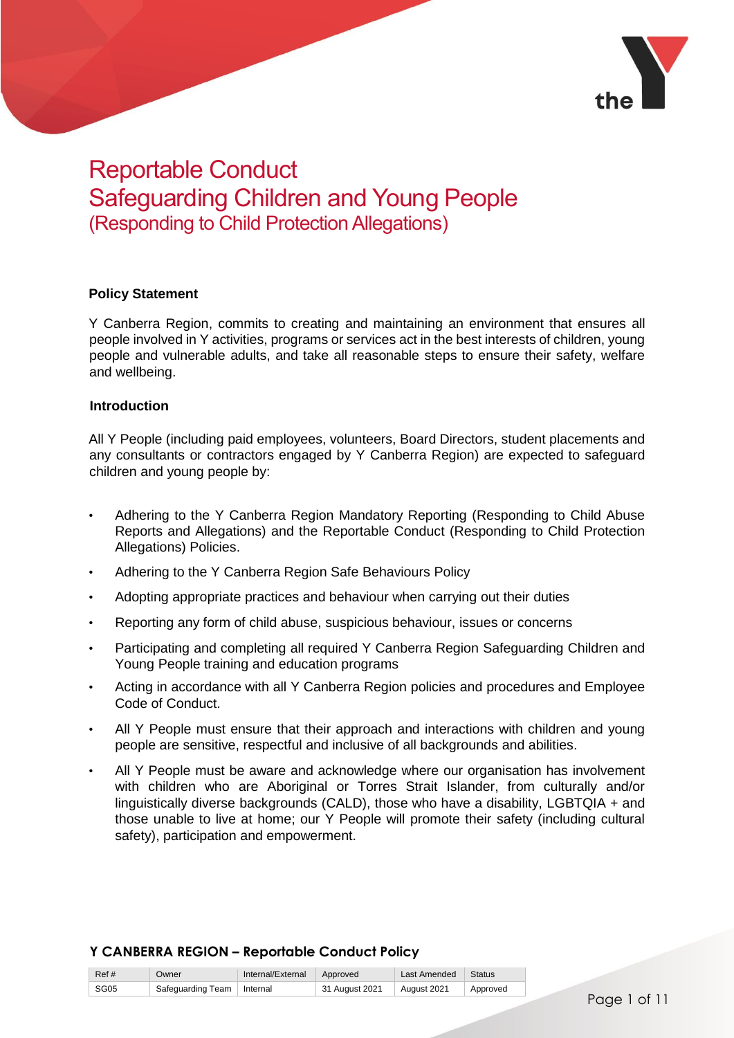

# Reportable Conduct Safeguarding Children and Young People (Responding to Child Protection Allegations)

# **Policy Statement**

Y Canberra Region, commits to creating and maintaining an environment that ensures all people involved in Y activities, programs or services act in the best interests of children, young people and vulnerable adults, and take all reasonable steps to ensure their safety, welfare and wellbeing.

#### **Introduction**

All Y People (including paid employees, volunteers, Board Directors, student placements and any consultants or contractors engaged by Y Canberra Region) are expected to safeguard children and young people by:

- Adhering to the Y Canberra Region Mandatory Reporting (Responding to Child Abuse Reports and Allegations) and the Reportable Conduct (Responding to Child Protection Allegations) Policies.
- Adhering to the Y Canberra Region Safe Behaviours Policy
- Adopting appropriate practices and behaviour when carrying out their duties
- Reporting any form of child abuse, suspicious behaviour, issues or concerns
- Participating and completing all required Y Canberra Region Safeguarding Children and Young People training and education programs
- Acting in accordance with all Y Canberra Region policies and procedures and Employee Code of Conduct.
- All Y People must ensure that their approach and interactions with children and young people are sensitive, respectful and inclusive of all backgrounds and abilities.
- All Y People must be aware and acknowledge where our organisation has involvement with children who are Aboriginal or Torres Strait Islander, from culturally and/or linguistically diverse backgrounds (CALD), those who have a disability, LGBTQIA + and those unable to live at home; our Y People will promote their safety (including cultural safety), participation and empowerment.

| Ref# | Owner                        | Internal/External Approved |                | Last Amended   Status |          |
|------|------------------------------|----------------------------|----------------|-----------------------|----------|
| SG05 | Safeguarding Team   Internal |                            | 31 August 2021 | August 2021           | Approved |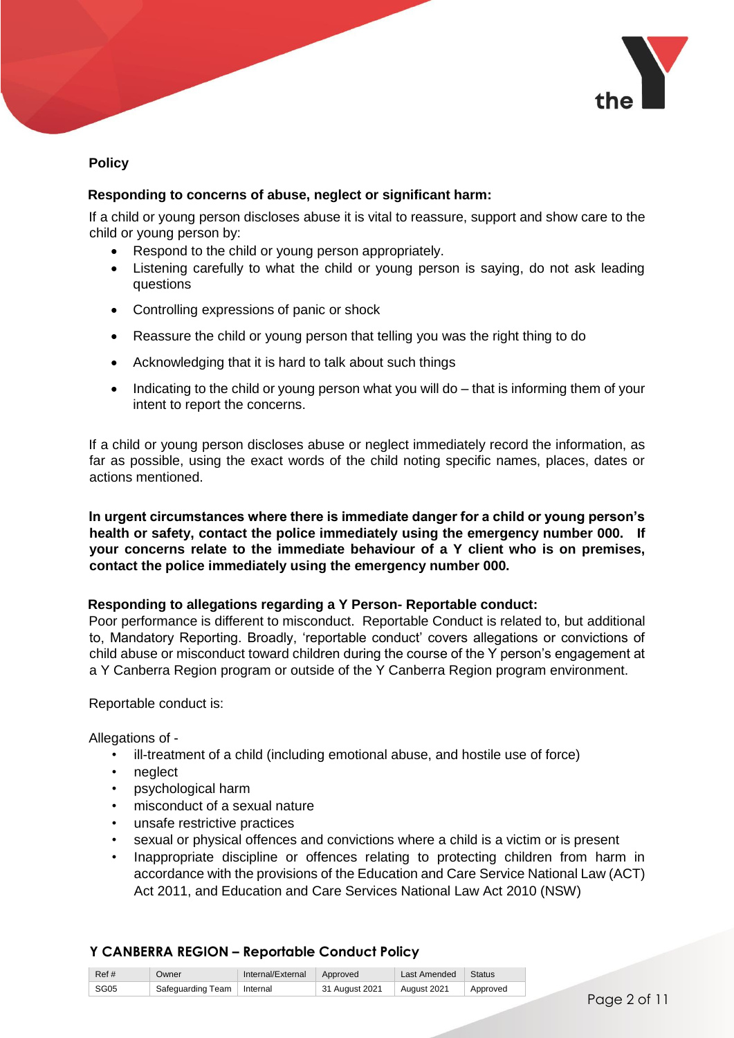

# **Policy**

# **Responding to concerns of abuse, neglect or significant harm:**

If a child or young person discloses abuse it is vital to reassure, support and show care to the child or young person by:

- Respond to the child or young person appropriately.
- Listening carefully to what the child or young person is saying, do not ask leading questions
- Controlling expressions of panic or shock
- Reassure the child or young person that telling you was the right thing to do
- Acknowledging that it is hard to talk about such things
- Indicating to the child or young person what you will do that is informing them of your intent to report the concerns.

If a child or young person discloses abuse or neglect immediately record the information, as far as possible, using the exact words of the child noting specific names, places, dates or actions mentioned.

**In urgent circumstances where there is immediate danger for a child or young person's health or safety, contact the police immediately using the emergency number 000. If your concerns relate to the immediate behaviour of a Y client who is on premises, contact the police immediately using the emergency number 000.** 

# **Responding to allegations regarding a Y Person- Reportable conduct:**

Poor performance is different to misconduct. Reportable Conduct is related to, but additional to, Mandatory Reporting. Broadly, 'reportable conduct' covers allegations or convictions of child abuse or misconduct toward children during the course of the Y person's engagement at a Y Canberra Region program or outside of the Y Canberra Region program environment.

Reportable conduct is:

Allegations of -

- ill-treatment of a child (including emotional abuse, and hostile use of force)
- neglect
- psychological harm
- misconduct of a sexual nature
- unsafe restrictive practices
- sexual or physical offences and convictions where a child is a victim or is present
- Inappropriate discipline or offences relating to protecting children from harm in accordance with the provisions of the Education and Care Service National Law (ACT) Act 2011, and Education and Care Services National Law Act 2010 (NSW)

| Ref # | Owner                        | Internal/External Approved |                | Last Amended | Status   |
|-------|------------------------------|----------------------------|----------------|--------------|----------|
| SG05  | Safeguarding Team   Internal |                            | 31 August 2021 | August 2021  | Approved |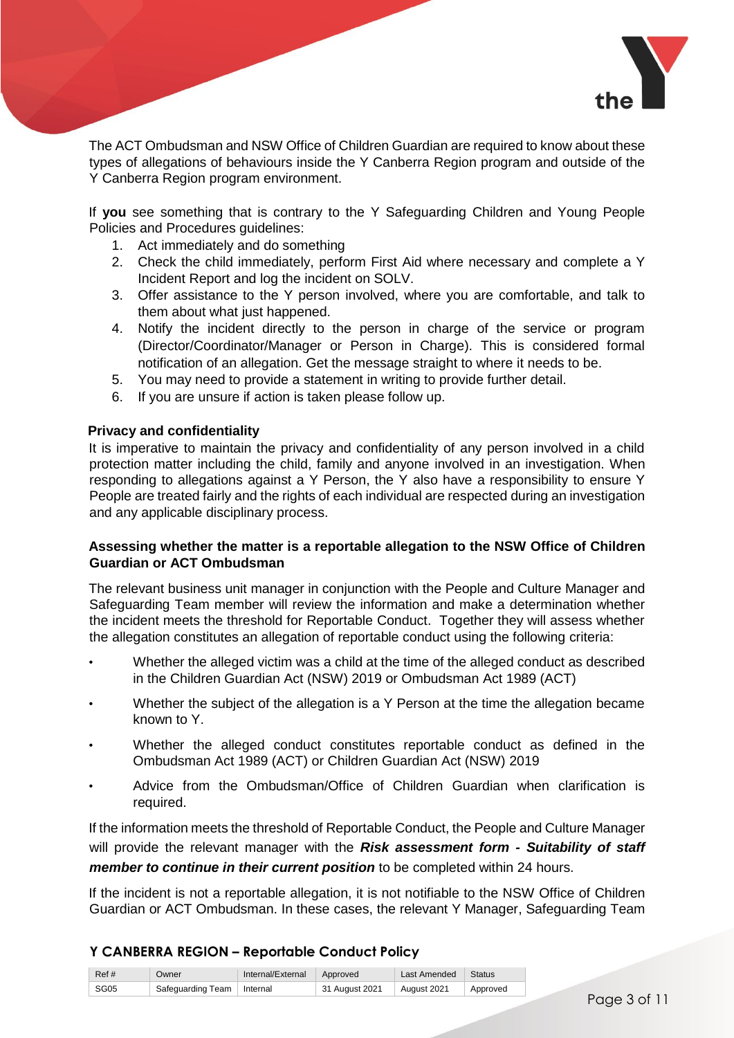

The ACT Ombudsman and NSW Office of Children Guardian are required to know about these types of allegations of behaviours inside the Y Canberra Region program and outside of the Y Canberra Region program environment.

If **you** see something that is contrary to the Y Safeguarding Children and Young People Policies and Procedures guidelines:

- 1. Act immediately and do something
- 2. Check the child immediately, perform First Aid where necessary and complete a Y Incident Report and log the incident on SOLV.
- 3. Offer assistance to the Y person involved, where you are comfortable, and talk to them about what just happened.
- 4. Notify the incident directly to the person in charge of the service or program (Director/Coordinator/Manager or Person in Charge). This is considered formal notification of an allegation. Get the message straight to where it needs to be.
- 5. You may need to provide a statement in writing to provide further detail.
- 6. If you are unsure if action is taken please follow up.

#### **Privacy and confidentiality**

It is imperative to maintain the privacy and confidentiality of any person involved in a child protection matter including the child, family and anyone involved in an investigation. When responding to allegations against a Y Person, the Y also have a responsibility to ensure Y People are treated fairly and the rights of each individual are respected during an investigation and any applicable disciplinary process.

# **Assessing whether the matter is a reportable allegation to the NSW Office of Children Guardian or ACT Ombudsman**

The relevant business unit manager in conjunction with the People and Culture Manager and Safeguarding Team member will review the information and make a determination whether the incident meets the threshold for Reportable Conduct. Together they will assess whether the allegation constitutes an allegation of reportable conduct using the following criteria:

- Whether the alleged victim was a child at the time of the alleged conduct as described in the Children Guardian Act (NSW) 2019 or Ombudsman Act 1989 (ACT)
- Whether the subject of the allegation is a Y Person at the time the allegation became known to Y.
- Whether the alleged conduct constitutes reportable conduct as defined in the Ombudsman Act 1989 (ACT) or Children Guardian Act (NSW) 2019
- Advice from the Ombudsman/Office of Children Guardian when clarification is required.

If the information meets the threshold of Reportable Conduct, the People and Culture Manager will provide the relevant manager with the *Risk assessment form - Suitability of staff member to continue in their current position* to be completed within 24 hours.

If the incident is not a reportable allegation, it is not notifiable to the NSW Office of Children Guardian or ACT Ombudsman. In these cases, the relevant Y Manager, Safeguarding Team

| Ref# | Owner                        | Internal/External | Approved                    | Last Amended | Status   |
|------|------------------------------|-------------------|-----------------------------|--------------|----------|
| SG05 | Safeguarding Team   Internal |                   | <sup>1</sup> 31 August 2021 | August 2021  | Approved |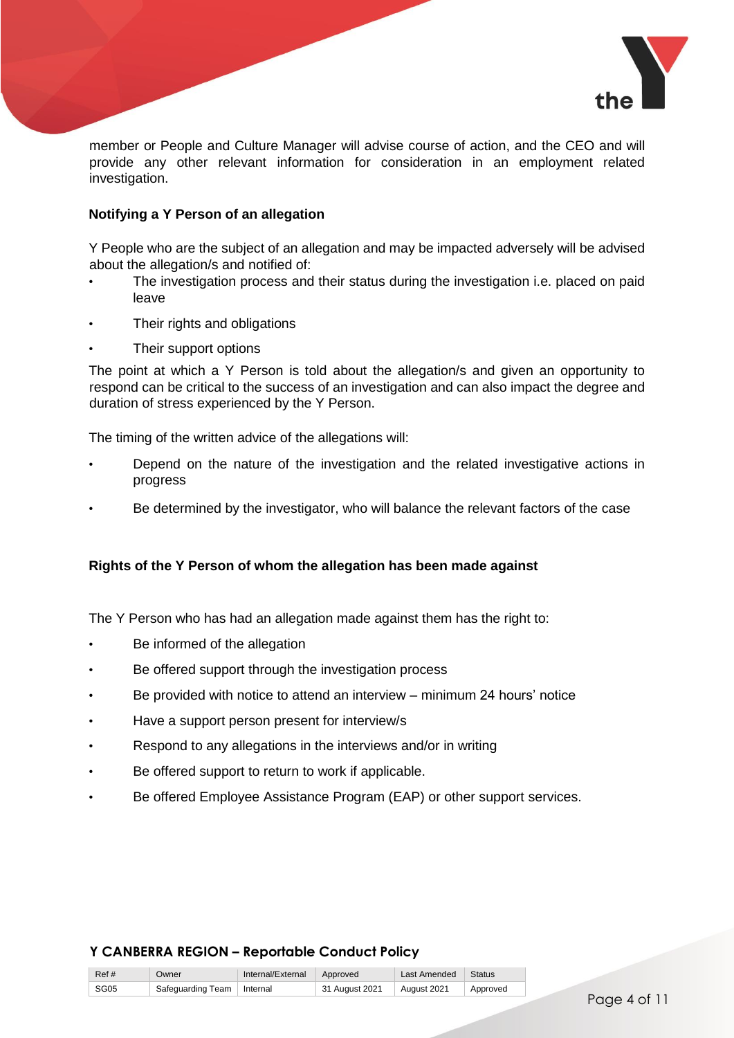

member or People and Culture Manager will advise course of action, and the CEO and will provide any other relevant information for consideration in an employment related investigation.

# **Notifying a Y Person of an allegation**

Y People who are the subject of an allegation and may be impacted adversely will be advised about the allegation/s and notified of:

- The investigation process and their status during the investigation i.e. placed on paid leave
- Their rights and obligations
- Their support options

The point at which a Y Person is told about the allegation/s and given an opportunity to respond can be critical to the success of an investigation and can also impact the degree and duration of stress experienced by the Y Person.

The timing of the written advice of the allegations will:

- Depend on the nature of the investigation and the related investigative actions in progress
- Be determined by the investigator, who will balance the relevant factors of the case

# **Rights of the Y Person of whom the allegation has been made against**

The Y Person who has had an allegation made against them has the right to:

- Be informed of the allegation
- Be offered support through the investigation process
- Be provided with notice to attend an interview minimum 24 hours' notice
- Have a support person present for interview/s
- Respond to any allegations in the interviews and/or in writing
- Be offered support to return to work if applicable.
- Be offered Employee Assistance Program (EAP) or other support services.

| Ref# | Owner                        | Internal/External Approved |                | Last Amended | Status   |
|------|------------------------------|----------------------------|----------------|--------------|----------|
| SG05 | Safeguarding Team   Internal |                            | 31 August 2021 | August 2021  | Approved |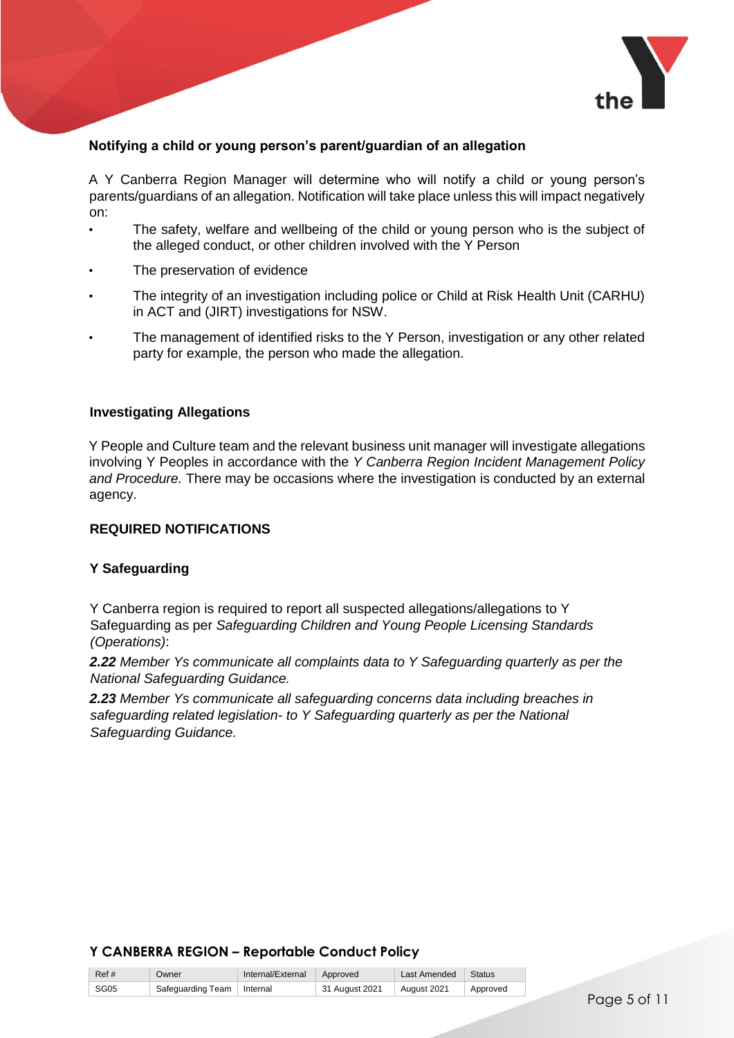

# **Notifying a child or young person's parent/guardian of an allegation**

A Y Canberra Region Manager will determine who will notify a child or young person's parents/guardians of an allegation. Notification will take place unless this will impact negatively on:

- The safety, welfare and wellbeing of the child or young person who is the subject of the alleged conduct, or other children involved with the Y Person
- The preservation of evidence
- The integrity of an investigation including police or Child at Risk Health Unit (CARHU) in ACT and (JIRT) investigations for NSW.
- The management of identified risks to the Y Person, investigation or any other related party for example, the person who made the allegation.

#### **Investigating Allegations**

Y People and Culture team and the relevant business unit manager will investigate allegations involving Y Peoples in accordance with the *Y Canberra Region Incident Management Policy and Procedure.* There may be occasions where the investigation is conducted by an external agency.

#### **REQUIRED NOTIFICATIONS**

#### **Y Safeguarding**

Y Canberra region is required to report all suspected allegations/allegations to Y Safeguarding as per *Safeguarding Children and Young People Licensing Standards (Operations)*:

*2.22 Member Ys communicate all complaints data to Y Safeguarding quarterly as per the National Safeguarding Guidance.*

*2.23 Member Ys communicate all safeguarding concerns data including breaches in safeguarding related legislation- to Y Safeguarding quarterly as per the National Safeguarding Guidance.* 

| Ref# | Owner                        | Internal/External Approved |                | Last Amended | Status   |
|------|------------------------------|----------------------------|----------------|--------------|----------|
| SG05 | Safeguarding Team   Internal |                            | 31 August 2021 | August 2021  | Approved |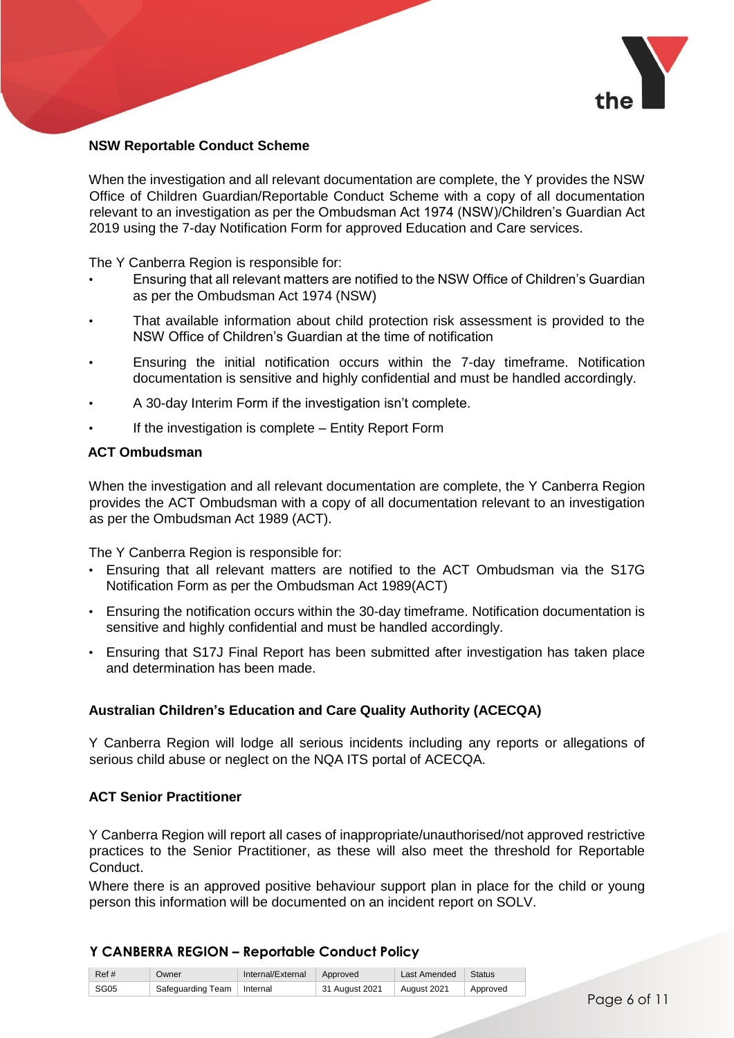

### **NSW Reportable Conduct Scheme**

When the investigation and all relevant documentation are complete, the Y provides the NSW Office of Children Guardian/Reportable Conduct Scheme with a copy of all documentation relevant to an investigation as per the Ombudsman Act 1974 (NSW)/Children's Guardian Act 2019 using the 7-day Notification Form for approved Education and Care services.

The Y Canberra Region is responsible for:

- Ensuring that all relevant matters are notified to the NSW Office of Children's Guardian as per the Ombudsman Act 1974 (NSW)
- That available information about child protection risk assessment is provided to the NSW Office of Children's Guardian at the time of notification
- Ensuring the initial notification occurs within the 7-day timeframe. Notification documentation is sensitive and highly confidential and must be handled accordingly.
- A 30-day Interim Form if the investigation isn't complete.
- If the investigation is complete Entity Report Form

# **ACT Ombudsman**

When the investigation and all relevant documentation are complete, the Y Canberra Region provides the ACT Ombudsman with a copy of all documentation relevant to an investigation as per the Ombudsman Act 1989 (ACT).

The Y Canberra Region is responsible for:

- Ensuring that all relevant matters are notified to the ACT Ombudsman via the S17G Notification Form as per the Ombudsman Act 1989(ACT)
- Ensuring the notification occurs within the 30-day timeframe. Notification documentation is sensitive and highly confidential and must be handled accordingly.
- Ensuring that S17J Final Report has been submitted after investigation has taken place and determination has been made.

#### **Australian Children's Education and Care Quality Authority (ACECQA)**

Y Canberra Region will lodge all serious incidents including any reports or allegations of serious child abuse or neglect on the NQA ITS portal of ACECQA.

#### **ACT Senior Practitioner**

Y Canberra Region will report all cases of inappropriate/unauthorised/not approved restrictive practices to the Senior Practitioner, as these will also meet the threshold for Reportable Conduct.

Where there is an approved positive behaviour support plan in place for the child or young person this information will be documented on an incident report on SOLV.

| Ref# | Owner                        | Internal/External | Approved       | Last Amended | Status   |
|------|------------------------------|-------------------|----------------|--------------|----------|
| SG05 | Safeguarding Team   Internal |                   | 31 August 2021 | August 2021  | Approved |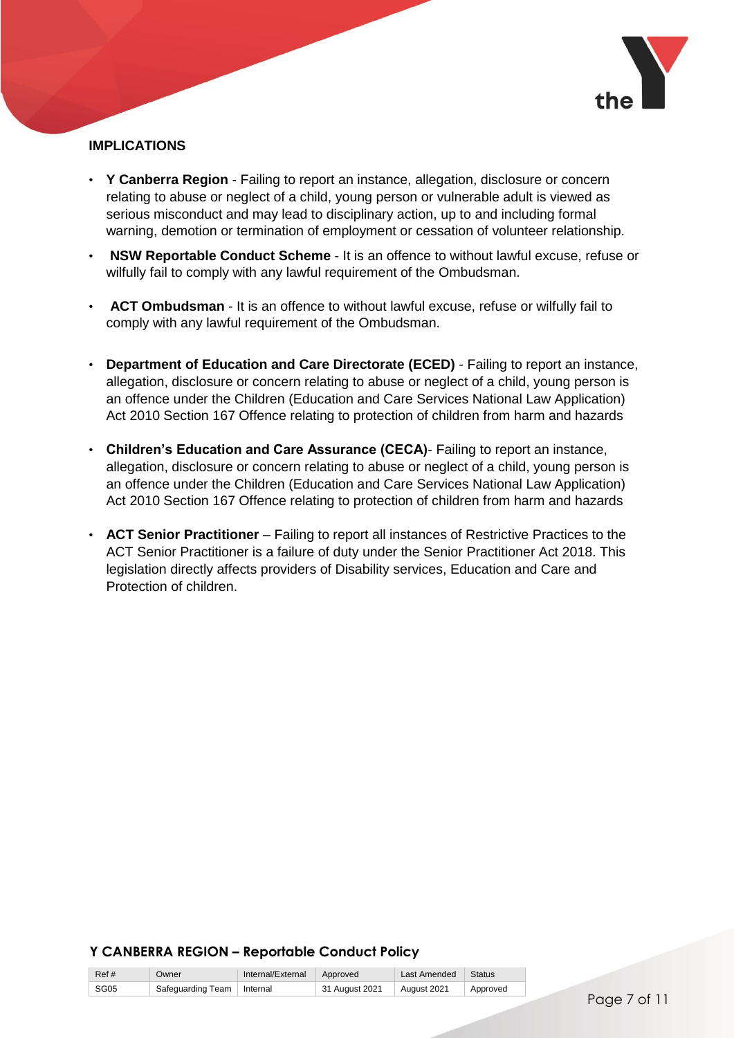

# **IMPLICATIONS**

- **Y Canberra Region** Failing to report an instance, allegation, disclosure or concern relating to abuse or neglect of a child, young person or vulnerable adult is viewed as serious misconduct and may lead to disciplinary action, up to and including formal warning, demotion or termination of employment or cessation of volunteer relationship.
- **NSW Reportable Conduct Scheme**  It is an offence to without lawful excuse, refuse or wilfully fail to comply with any lawful requirement of the Ombudsman.
- **ACT Ombudsman** It is an offence to without lawful excuse, refuse or wilfully fail to comply with any lawful requirement of the Ombudsman.
- **Department of Education and Care Directorate (ECED)** Failing to report an instance, allegation, disclosure or concern relating to abuse or neglect of a child, young person is an offence under the Children (Education and Care Services National Law Application) Act 2010 Section 167 Offence relating to protection of children from harm and hazards
- **Children's Education and Care Assurance (CECA)** Failing to report an instance, allegation, disclosure or concern relating to abuse or neglect of a child, young person is an offence under the Children (Education and Care Services National Law Application) Act 2010 Section 167 Offence relating to protection of children from harm and hazards
- **ACT Senior Practitioner** Failing to report all instances of Restrictive Practices to the ACT Senior Practitioner is a failure of duty under the Senior Practitioner Act 2018. This legislation directly affects providers of Disability services, Education and Care and Protection of children.

| Ref # | Owner                        | Internal/External Approved |                      | Last Amended   Status |          |
|-------|------------------------------|----------------------------|----------------------|-----------------------|----------|
| SG05  | Safeguarding Team   Internal |                            | $\pm$ 31 August 2021 | August 2021           | Approved |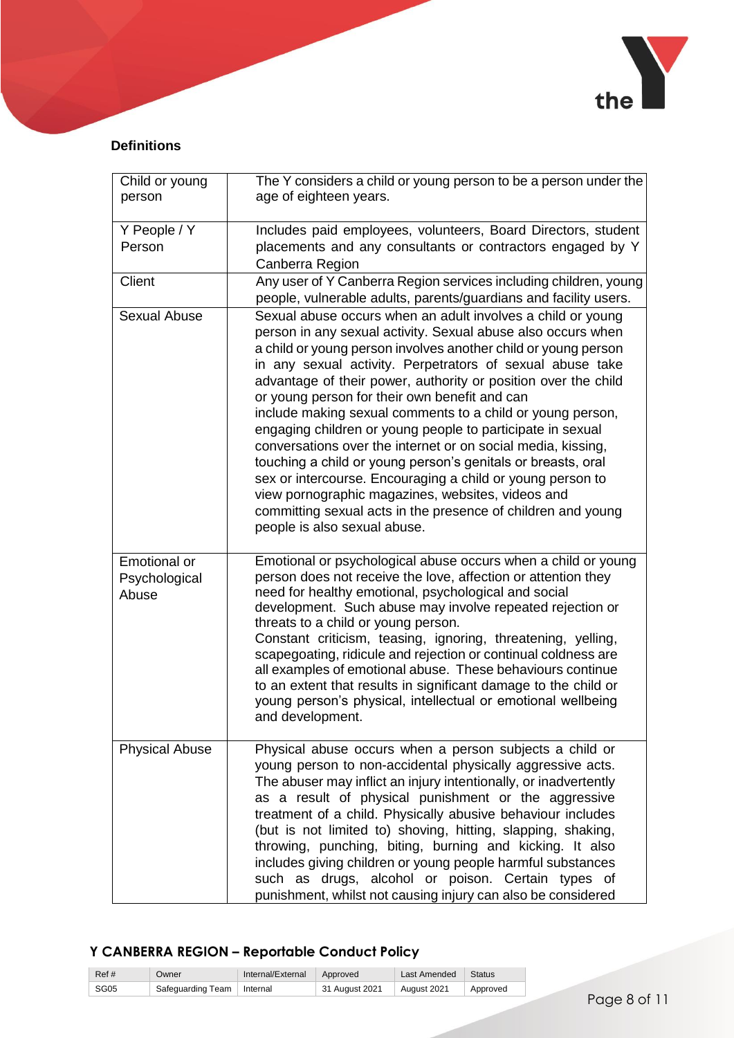

# **Definitions**

| Child or young<br>person               | The Y considers a child or young person to be a person under the<br>age of eighteen years.                                                                                                                                                                                                                                                                                                                                                                                                                                                                                                                                                                                                                                                                                                                                                                   |
|----------------------------------------|--------------------------------------------------------------------------------------------------------------------------------------------------------------------------------------------------------------------------------------------------------------------------------------------------------------------------------------------------------------------------------------------------------------------------------------------------------------------------------------------------------------------------------------------------------------------------------------------------------------------------------------------------------------------------------------------------------------------------------------------------------------------------------------------------------------------------------------------------------------|
| Y People / Y                           | Includes paid employees, volunteers, Board Directors, student                                                                                                                                                                                                                                                                                                                                                                                                                                                                                                                                                                                                                                                                                                                                                                                                |
| Person                                 | placements and any consultants or contractors engaged by Y<br>Canberra Region                                                                                                                                                                                                                                                                                                                                                                                                                                                                                                                                                                                                                                                                                                                                                                                |
| Client                                 | Any user of Y Canberra Region services including children, young<br>people, vulnerable adults, parents/guardians and facility users.                                                                                                                                                                                                                                                                                                                                                                                                                                                                                                                                                                                                                                                                                                                         |
| <b>Sexual Abuse</b>                    | Sexual abuse occurs when an adult involves a child or young<br>person in any sexual activity. Sexual abuse also occurs when<br>a child or young person involves another child or young person<br>in any sexual activity. Perpetrators of sexual abuse take<br>advantage of their power, authority or position over the child<br>or young person for their own benefit and can<br>include making sexual comments to a child or young person,<br>engaging children or young people to participate in sexual<br>conversations over the internet or on social media, kissing,<br>touching a child or young person's genitals or breasts, oral<br>sex or intercourse. Encouraging a child or young person to<br>view pornographic magazines, websites, videos and<br>committing sexual acts in the presence of children and young<br>people is also sexual abuse. |
| Emotional or<br>Psychological<br>Abuse | Emotional or psychological abuse occurs when a child or young<br>person does not receive the love, affection or attention they<br>need for healthy emotional, psychological and social<br>development. Such abuse may involve repeated rejection or<br>threats to a child or young person.<br>Constant criticism, teasing, ignoring, threatening, yelling,<br>scapegoating, ridicule and rejection or continual coldness are<br>all examples of emotional abuse. These behaviours continue<br>to an extent that results in significant damage to the child or<br>young person's physical, intellectual or emotional wellbeing<br>and development.                                                                                                                                                                                                            |
| <b>Physical Abuse</b>                  | Physical abuse occurs when a person subjects a child or<br>young person to non-accidental physically aggressive acts.<br>The abuser may inflict an injury intentionally, or inadvertently<br>as a result of physical punishment or the aggressive<br>treatment of a child. Physically abusive behaviour includes<br>(but is not limited to) shoving, hitting, slapping, shaking,<br>throwing, punching, biting, burning and kicking. It also<br>includes giving children or young people harmful substances<br>such as drugs, alcohol or poison. Certain types of<br>punishment, whilst not causing injury can also be considered                                                                                                                                                                                                                            |

| Ref # | Owner                        | Internal/External Approved |                | Last Amended | ∣ Status |
|-------|------------------------------|----------------------------|----------------|--------------|----------|
| SG05  | Safeguarding Team   Internal |                            | 31 August 2021 | August 2021  | Approved |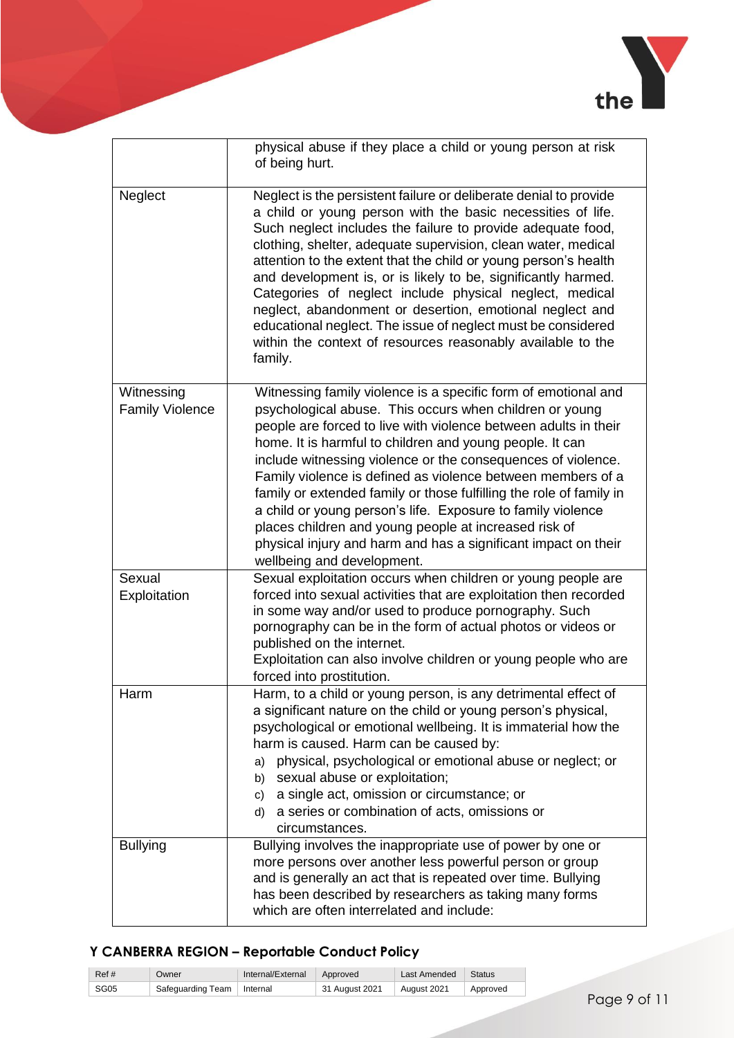

|                                      | physical abuse if they place a child or young person at risk<br>of being hurt.                                                                                                                                                                                                                                                                                                                                                                                                                                                                                                                                                                                                         |
|--------------------------------------|----------------------------------------------------------------------------------------------------------------------------------------------------------------------------------------------------------------------------------------------------------------------------------------------------------------------------------------------------------------------------------------------------------------------------------------------------------------------------------------------------------------------------------------------------------------------------------------------------------------------------------------------------------------------------------------|
| Neglect                              | Neglect is the persistent failure or deliberate denial to provide<br>a child or young person with the basic necessities of life.<br>Such neglect includes the failure to provide adequate food,<br>clothing, shelter, adequate supervision, clean water, medical<br>attention to the extent that the child or young person's health<br>and development is, or is likely to be, significantly harmed.<br>Categories of neglect include physical neglect, medical<br>neglect, abandonment or desertion, emotional neglect and<br>educational neglect. The issue of neglect must be considered<br>within the context of resources reasonably available to the<br>family.                  |
| Witnessing<br><b>Family Violence</b> | Witnessing family violence is a specific form of emotional and<br>psychological abuse. This occurs when children or young<br>people are forced to live with violence between adults in their<br>home. It is harmful to children and young people. It can<br>include witnessing violence or the consequences of violence.<br>Family violence is defined as violence between members of a<br>family or extended family or those fulfilling the role of family in<br>a child or young person's life. Exposure to family violence<br>places children and young people at increased risk of<br>physical injury and harm and has a significant impact on their<br>wellbeing and development. |
| Sexual<br>Exploitation               | Sexual exploitation occurs when children or young people are<br>forced into sexual activities that are exploitation then recorded<br>in some way and/or used to produce pornography. Such<br>pornography can be in the form of actual photos or videos or<br>published on the internet.<br>Exploitation can also involve children or young people who are<br>forced into prostitution.                                                                                                                                                                                                                                                                                                 |
| Harm                                 | Harm, to a child or young person, is any detrimental effect of<br>a significant nature on the child or young person's physical,<br>psychological or emotional wellbeing. It is immaterial how the<br>harm is caused. Harm can be caused by:<br>physical, psychological or emotional abuse or neglect; or<br>a)<br>sexual abuse or exploitation;<br>b)<br>a single act, omission or circumstance; or<br>c)<br>a series or combination of acts, omissions or<br>d)<br>circumstances.                                                                                                                                                                                                     |
| <b>Bullying</b>                      | Bullying involves the inappropriate use of power by one or<br>more persons over another less powerful person or group<br>and is generally an act that is repeated over time. Bullying<br>has been described by researchers as taking many forms<br>which are often interrelated and include:                                                                                                                                                                                                                                                                                                                                                                                           |

| Ref # | Owner                        | Internal/External | Approved       | Last Amended | Status   |
|-------|------------------------------|-------------------|----------------|--------------|----------|
| SG05  | Safeguarding Team   Internal |                   | 31 August 2021 | August 2021  | Approved |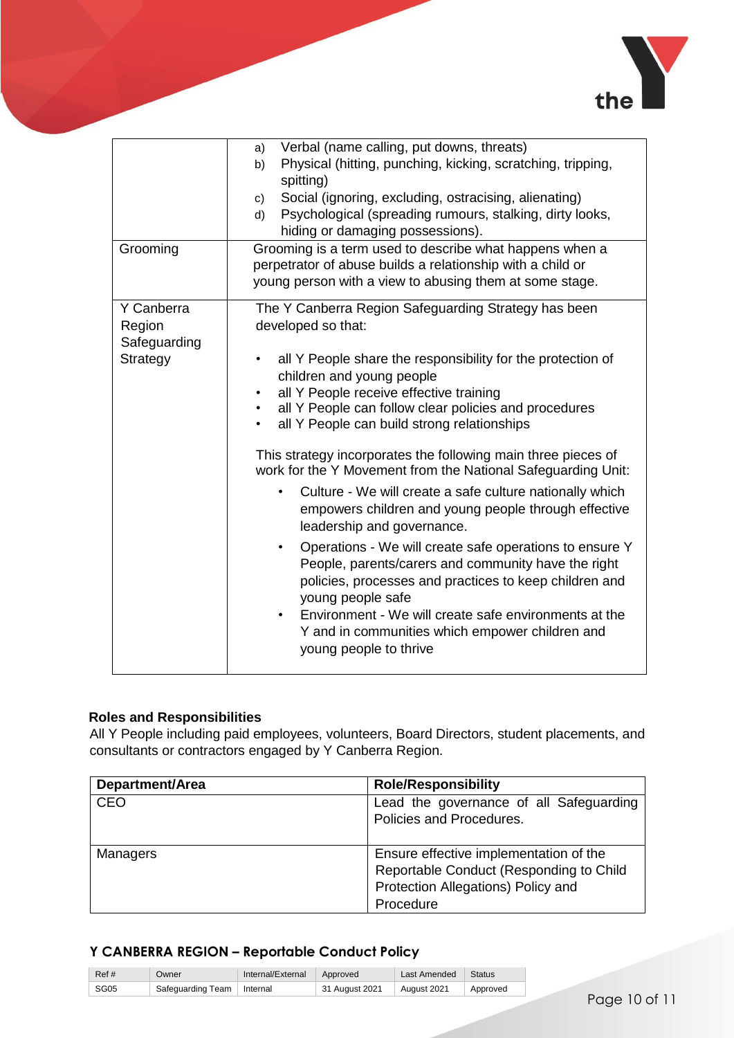

| Grooming                                         | Verbal (name calling, put downs, threats)<br>a)<br>Physical (hitting, punching, kicking, scratching, tripping,<br>b)<br>spitting)<br>Social (ignoring, excluding, ostracising, alienating)<br>C)<br>Psychological (spreading rumours, stalking, dirty looks,<br>d)<br>hiding or damaging possessions).<br>Grooming is a term used to describe what happens when a<br>perpetrator of abuse builds a relationship with a child or<br>young person with a view to abusing them at some stage.                                                                                                                                                                                                                                                                                                                                                                                                                                                                                                                                |
|--------------------------------------------------|---------------------------------------------------------------------------------------------------------------------------------------------------------------------------------------------------------------------------------------------------------------------------------------------------------------------------------------------------------------------------------------------------------------------------------------------------------------------------------------------------------------------------------------------------------------------------------------------------------------------------------------------------------------------------------------------------------------------------------------------------------------------------------------------------------------------------------------------------------------------------------------------------------------------------------------------------------------------------------------------------------------------------|
| Y Canberra<br>Region<br>Safeguarding<br>Strategy | The Y Canberra Region Safeguarding Strategy has been<br>developed so that:<br>all Y People share the responsibility for the protection of<br>$\bullet$<br>children and young people<br>all Y People receive effective training<br>$\bullet$<br>all Y People can follow clear policies and procedures<br>$\bullet$<br>all Y People can build strong relationships<br>$\bullet$<br>This strategy incorporates the following main three pieces of<br>work for the Y Movement from the National Safeguarding Unit:<br>Culture - We will create a safe culture nationally which<br>٠<br>empowers children and young people through effective<br>leadership and governance.<br>Operations - We will create safe operations to ensure Y<br>$\bullet$<br>People, parents/carers and community have the right<br>policies, processes and practices to keep children and<br>young people safe<br>Environment - We will create safe environments at the<br>Y and in communities which empower children and<br>young people to thrive |

# **Roles and Responsibilities**

All Y People including paid employees, volunteers, Board Directors, student placements, and consultants or contractors engaged by Y Canberra Region.

| <b>Department/Area</b> | <b>Role/Responsibility</b>                                                                                                           |
|------------------------|--------------------------------------------------------------------------------------------------------------------------------------|
| <b>CEO</b>             | Lead the governance of all Safeguarding<br>Policies and Procedures.                                                                  |
| Managers               | Ensure effective implementation of the<br>Reportable Conduct (Responding to Child<br>Protection Allegations) Policy and<br>Procedure |

| Ref# | Owner                        | Internal/External Approved |                | Last Amended | Status   |
|------|------------------------------|----------------------------|----------------|--------------|----------|
| SG05 | Safeguarding Team   Internal |                            | 31 August 2021 | August 2021  | Approved |